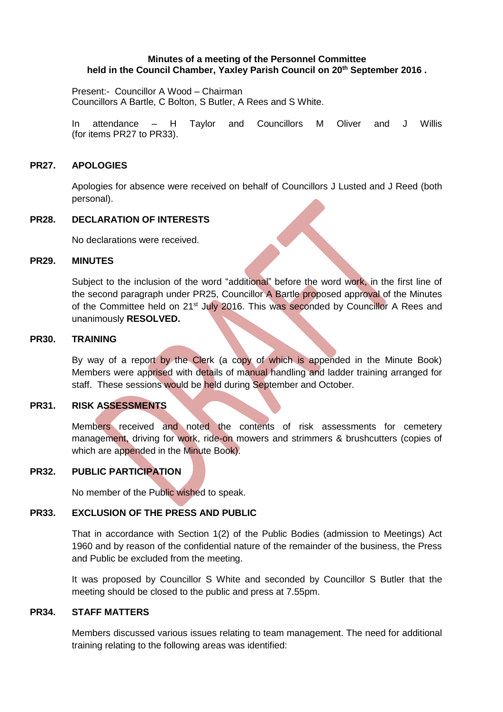### **Minutes of a meeting of the Personnel Committee held in the Council Chamber, Yaxley Parish Council on 20 th September 2016 .**

Present:- Councillor A Wood – Chairman Councillors A Bartle, C Bolton, S Butler, A Rees and S White.

In attendance – H Taylor and Councillors M Oliver and J Willis (for items PR27 to PR33).

### **PR27. APOLOGIES**

Apologies for absence were received on behalf of Councillors J Lusted and J Reed (both personal).

## **PR28. DECLARATION OF INTERESTS**

No declarations were received.

#### **PR29. MINUTES**

Subject to the inclusion of the word "additional" before the word work, in the first line of the second paragraph under PR25, Councillor A Bartle proposed approval of the Minutes of the Committee held on 21<sup>st</sup> July 2016. This was seconded by Councillor A Rees and unanimously **RESOLVED.**

### **PR30. TRAINING**

By way of a report by the Clerk (a copy of which is appended in the Minute Book) Members were apprised with details of manual handling and ladder training arranged for staff. These sessions would be held during September and October.

# **PR31. RISK ASSESSMENTS**

Members received and noted the contents of risk assessments for cemetery management, driving for work, ride-on mowers and strimmers & brushcutters (copies of which are appended in the Minute Book).

# **PR32. PUBLIC PARTICIPATION**

No member of the Public wished to speak.

### **PR33. EXCLUSION OF THE PRESS AND PUBLIC**

That in accordance with Section 1(2) of the Public Bodies (admission to Meetings) Act 1960 and by reason of the confidential nature of the remainder of the business, the Press and Public be excluded from the meeting.

It was proposed by Councillor S White and seconded by Councillor S Butler that the meeting should be closed to the public and press at 7.55pm.

## **PR34. STAFF MATTERS**

Members discussed various issues relating to team management. The need for additional training relating to the following areas was identified: